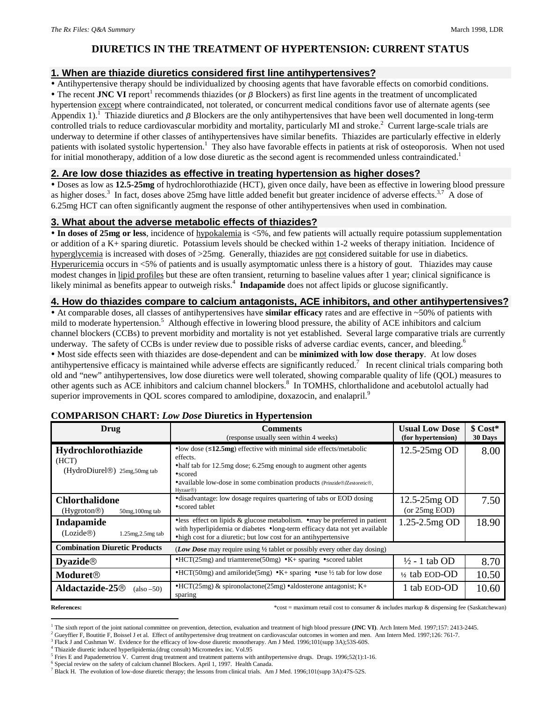# **DIURETICS IN THE TREATMENT OF HYPERTENSION: CURRENT STATUS**

### **1. When are thiazide diuretics considered first line antihypertensives?**

Antihypertensive therapy should be individualized by choosing agents that have favorable effects on comorbid conditions.

 $\bullet$  The recent **JNC VI** report<sup>1</sup> recommends thiazides (or  $\beta$  Blockers) as first line agents in the treatment of uncomplicated hypertension except where contraindicated, not tolerated, or concurrent medical conditions favor use of alternate agents (see Appendix 1).<sup>1</sup> Thiazide diuretics and  $\beta$  Blockers are the only antihypertensives that have been well documented in long-term controlled trials to reduce cardiovascular morbidity and mortality, particularly MI and stroke.<sup>2</sup> Current large-scale trials are underway to determine if other classes of antihypertensives have similar benefits. Thiazides are particularly effective in elderly patients with isolated systolic hypertension.<sup>1</sup> They also have favorable effects in patients at risk of osteoporosis. When not used for initial monotherapy, addition of a low dose diuretic as the second agent is recommended unless contraindicated.<sup>1</sup>

#### **2. Are low dose thiazides as effective in treating hypertension as higher doses?**

 Doses as low as **12.5-25mg** of hydrochlorothiazide (HCT), given once daily, have been as effective in lowering blood pressure as higher doses.<sup>3</sup> In fact, doses above 25mg have little added benefit but greater incidence of adverse effects.<sup>3,7</sup> A dose of 6.25mg HCT can often significantly augment the response of other antihypertensives when used in combination.

#### **3. What about the adverse metabolic effects of thiazides?**

 **In doses of 25mg or less**, incidence of hypokalemia is <5%, and few patients will actually require potassium supplementation or addition of a K+ sparing diuretic. Potassium levels should be checked within 1-2 weeks of therapy initiation. Incidence of hyperglycemia is increased with doses of >25mg. Generally, thiazides are not considered suitable for use in diabetics. Hyperuricemia occurs in <5% of patients and is usually asymptomatic unless there is a history of gout. Thiazides may cause modest changes in lipid profiles but these are often transient, returning to baseline values after 1 year; clinical significance is likely minimal as benefits appear to outweigh risks.<sup>4</sup> Indapamide does not affect lipids or glucose significantly.

## **4. How do thiazides compare to calcium antagonists, ACE inhibitors, and other antihypertensives?**

 At comparable doses, all classes of antihypertensives have **similar efficacy** rates and are effective in ~50% of patients with mild to moderate hypertension.<sup>5</sup> Although effective in lowering blood pressure, the ability of ACE inhibitors and calcium channel blockers (CCBs) to prevent morbidity and mortality is not yet established. Several large comparative trials are currently underway. The safety of CCBs is under review due to possible risks of adverse cardiac events, cancer, and bleeding.<sup>6</sup> Most side effects seen with thiazides are dose-dependent and can be **minimized with low dose therapy**. At low doses antihypertensive efficacy is maintained while adverse effects are significantly reduced.<sup>7</sup> In recent clinical trials comparing both old and "new" antihypertensives, low dose diuretics were well tolerated, showing comparable quality of life (QOL) measures to other agents such as ACE inhibitors and calcium channel blockers.<sup>8</sup> In TOMHS, chlorthalidone and acebutolol actually had superior improvements in QOL scores compared to amlodipine, doxazocin, and enalapril.<sup>9</sup>

| Drug                                                                      | <b>Comments</b><br>(response usually seen within 4 weeks)                                                                                                                                                                                                                  | <b>Usual Low Dose</b><br>(for hypertension) | \$ Cost*<br>30 Days |
|---------------------------------------------------------------------------|----------------------------------------------------------------------------------------------------------------------------------------------------------------------------------------------------------------------------------------------------------------------------|---------------------------------------------|---------------------|
| Hydrochlorothiazide<br>(HCT)<br>(HydroDiurel <sup>®</sup> ) 25mg,50mg tab | • low dose $(\leq 12.5mg)$ effective with minimal side effects/metabolic<br>effects.<br>• half tab for 12.5mg dose; 6.25mg enough to augment other agents<br>•scored<br>• available low-dose in some combination products (Prinzide®/Zestoretic®,<br>Hyzaar <sup>®</sup> ) | 12.5-25mg OD                                | 8.00                |
| <b>Chlorthalidone</b><br>(Hygroton@)<br>50mg, 100mg tab                   | • disadvantage: low dosage requires quartering of tabs or EOD dosing<br>• scored tablet                                                                                                                                                                                    | 12.5-25mg OD<br>(or 25mg EOD)               | 7.50                |
| Indapamide<br>(Lozide@)<br>1.25mg, 2.5mg tab                              | • less effect on lipids & glucose metabolism. • may be preferred in patient<br>with hyperlipidemia or diabetes •long-term efficacy data not yet available<br>• high cost for a diuretic; but low cost for an antihypertensive                                              | 1.25-2.5mg OD                               | 18.90               |
| <b>Combination Diuretic Products</b>                                      | ( <i>Low Dose</i> may require using $\frac{1}{2}$ tablet or possibly every other day dosing)                                                                                                                                                                               |                                             |                     |
| $\bf Dyazide@$                                                            | $\cdot$ HCT(25mg) and triamterene(50mg) $\cdot$ K+ sparing $\cdot$ scored tablet                                                                                                                                                                                           | $\frac{1}{2}$ - 1 tab OD                    | 8.70                |
| <b>Moduret</b> <sup>®</sup>                                               | $\cdot$ HCT(50mg) and amiloride(5mg) $\cdot$ K+ sparing $\cdot$ use ½ tab for low dose                                                                                                                                                                                     | 1/2 tab EOD-OD                              | 10.50               |
| <b>Aldactazide-25</b> <sup>®</sup><br>$(also - 50)$                       | $\cdot$ HCT(25mg) & spironolactone(25mg) $\cdot$ aldosterone antagonist; K+<br>sparing                                                                                                                                                                                     | 1 tab EOD-OD                                | 10.60               |

#### **COMPARISON CHART:** *Low Dose* **Diuretics in Hypertension**

1

**References: According the maximum retail cost to consumer & includes markup & dispensing fee (Saskatchewan)** 

6 Special review on the safety of calcium channel Blockers. April 1, 1997. Health Canada.

<sup>1</sup> The sixth report of the joint national committee on prevention, detection, evaluation and treatment of high blood pressure **(JNC VI)**. Arch Intern Med. 1997;157: 2413-2445.

<sup>&</sup>lt;sup>2</sup> Gueyffier F, Boutitie F, Boissel J et al. Effect of antihypertensive drug treatment on cardiovascular outcomes in women and men. Ann Intern Med. 1997;126: 761-7.

<sup>&</sup>lt;sup>3</sup> Flack J and Cushman W. Evidence for the efficacy of low-dose diuretic monotherapy. Am J Med. 1996;101(supp 3A);53S-60S.

<sup>&</sup>lt;sup>4</sup> Thiazide diuretic induced hyperlipidemia.(drug consult) Micromedex inc. Vol.95

<sup>&</sup>lt;sup>5</sup> Fries E and Papademetriou V. Current drug treatment and treatment patterns with antihypertensive drugs. Drugs. 1996;52(1):1-16.

<sup>&</sup>lt;sup>7</sup> Black H. The evolution of low-dose diuretic therapy; the lessons from clinical trials. Am J Med. 1996;101(supp 3A):47S-52S.